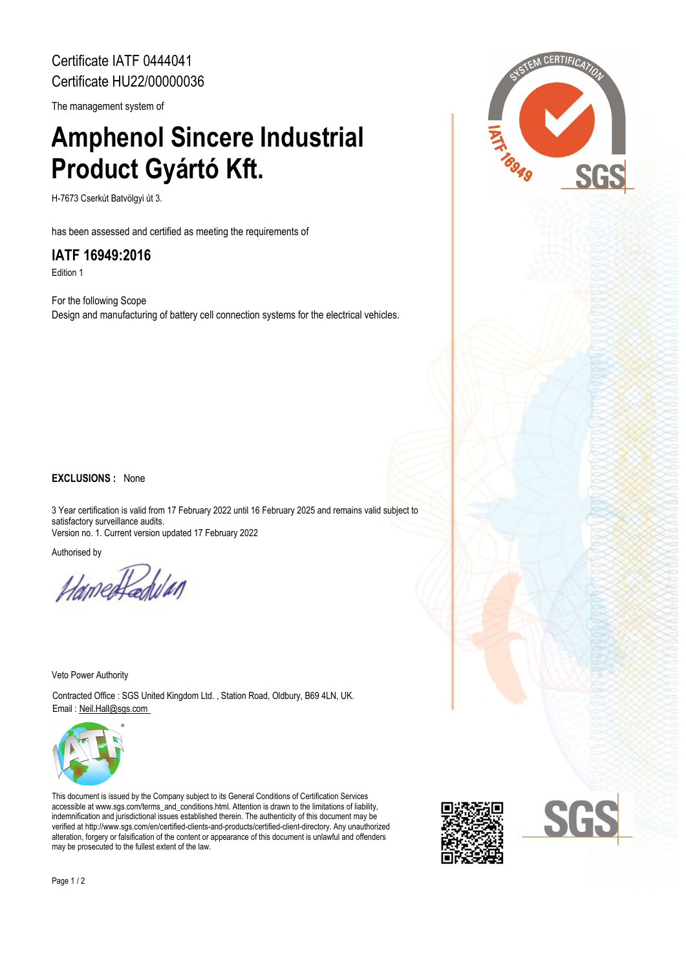Certificate IATF 0444041 Certificate HU22/00000036

The management system of

# **Amphenol Sincere Industrial Product Gyártó Kft.**

H-7673 Cserkút Batvölgyi út 3.

has been assessed and certified as meeting the requirements of

### **IATF 16949:2016**

Edition 1

For the following Scope Design and manufacturing of battery cell connection systems for the electrical vehicles.

#### **EXCLUSIONS :** None

3 Year certification is valid from 17 February 2022 until 16 February 2025 and remains valid subject to satisfactory surveillance audits. Version no. 1. Current version updated 17 February 2022

Authorised by

Hamedfadulan

Veto Power Authority

Contracted Office : SGS United Kingdom Ltd. , Station Road, Oldbury, B69 4LN, UK. Email : Neil.Hall@sgs.com



This document is issued by the Company subject to its General Conditions of Certification Services accessible at www.sgs.com/terms\_and\_conditions.html. Attention is drawn to the limitations of liability, indemnification and jurisdictional issues established therein. The authenticity of this document may be verified at http://www.sgs.com/en/certified-clients-and-products/certified-client-directory. Any unauthorized alteration, forgery or falsification of the content or appearance of this document is unlawful and offenders may be prosecuted to the fullest extent of the law.